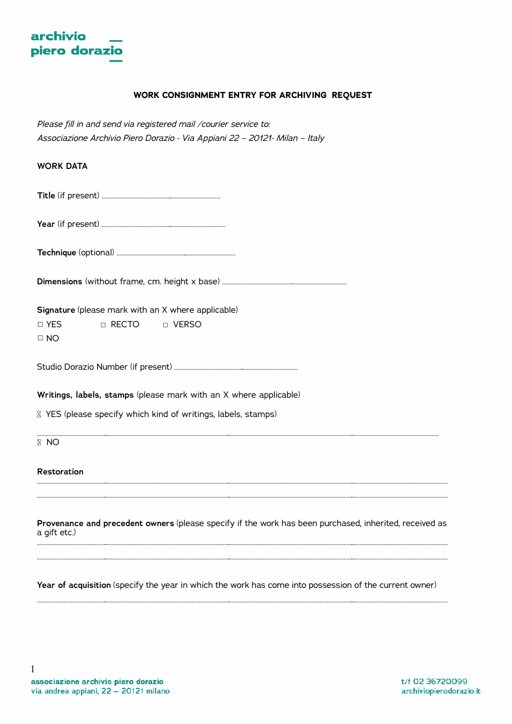

# **WORK CONSIGNMENT ENTRY FOR ARCHIVING REQUEST**

*Please fill in and send via registered mail /courier service to: Associazione Archivio Piero Dorazio - Via Appiani 22 – 20121- Milan – Italy* 

| <b>WORK DATA</b>                                                                                                       |
|------------------------------------------------------------------------------------------------------------------------|
|                                                                                                                        |
|                                                                                                                        |
|                                                                                                                        |
|                                                                                                                        |
| Signature (please mark with an X where applicable)<br>□ RECTO<br>$\Box$ YES<br>D VERSO<br>$\Box$ NO                    |
|                                                                                                                        |
| Writings, labels, stamps (please mark with an X where applicable)                                                      |
| ⊠ YES (please specify which kind of writings, labels, stamps)                                                          |
| <b>E</b> NO                                                                                                            |
| <b>Restoration</b>                                                                                                     |
| Provenance and precedent owners (please specify if the work has been purchased, inherited, received as<br>a gift etc.) |
|                                                                                                                        |

**Year of acquisition** (specify the year in which the work has come into possession of the current owner)

………………………………………..………………………………………………………………………..………………………………………………………………………..………………………………………………………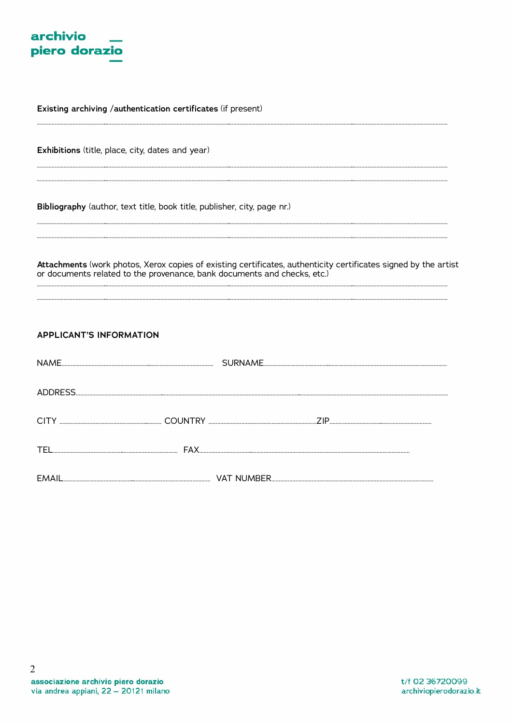

Existing archiving /authentication certificates (if present)

Exhibitions (title, place, city, dates and year)

Bibliography (author, text title, book title, publisher, city, page nr.)

Attachments (work photos, Xerox copies of existing certificates, authenticity certificates signed by the artist or documents related to the provenance, bank documents and checks, etc.)

| <b>APPLICANT'S INFORMATION</b> |  |
|--------------------------------|--|
|                                |  |
|                                |  |
|                                |  |
|                                |  |
|                                |  |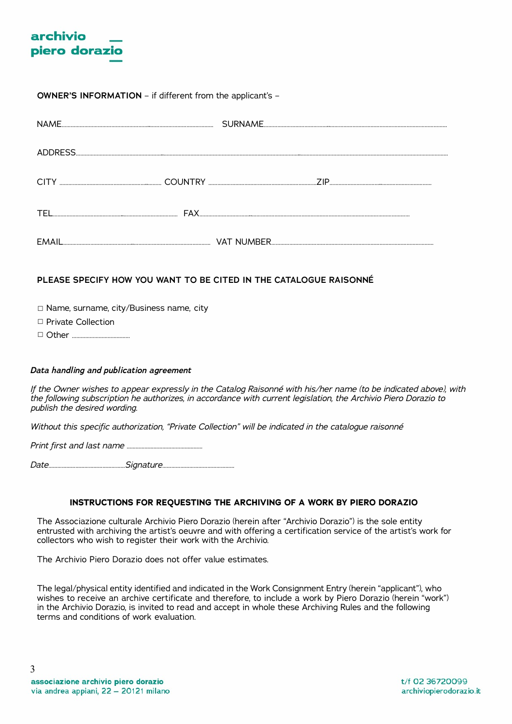

# **OWNER'S INFORMATION** – if different from the applicant's –

| NAME.   |  |  |
|---------|--|--|
|         |  |  |
| ADDRESS |  |  |
|         |  |  |
| CITY    |  |  |
|         |  |  |
| TEL     |  |  |
|         |  |  |
| EMAIL   |  |  |

# **PLEASE SPECIFY HOW YOU WANT TO BE CITED IN THE CATALOGUE RAISONNÉ**

☐ Name, surname, city/Business name, city

☐ Private Collection

☐ Other …………………………………

#### *Data handling and publication agreement*

*If the Owner wishes to appear expressly in the Catalog Raisonné with his/her name (to be indicated above), with the following subscription he authorizes, in accordance with current legislation, the Archivio Piero Dorazio to publish the desired wording.*

*Without this specific authorization, "Private Collection" will be indicated in the catalogue raisonné* 

*Print first and last name ……………………………………………* 

*Date……………………………………………Signature…………………………………………*

## **INSTRUCTIONS FOR REQUESTING THE ARCHIVING OF A WORK BY PIERO DORAZIO**

The Associazione culturale Archivio Piero Dorazio (herein after "Archivio Dorazio") is the sole entity entrusted with archiving the artist's oeuvre and with offering a certification service of the artist's work for collectors who wish to register their work with the Archivio.

The Archivio Piero Dorazio does not offer value estimates.

The legal/physical entity identified and indicated in the Work Consignment Entry (herein "applicant"), who wishes to receive an archive certificate and therefore, to include a work by Piero Dorazio (herein "work") in the Archivio Dorazio, is invited to read and accept in whole these Archiving Rules and the following terms and conditions of work evaluation.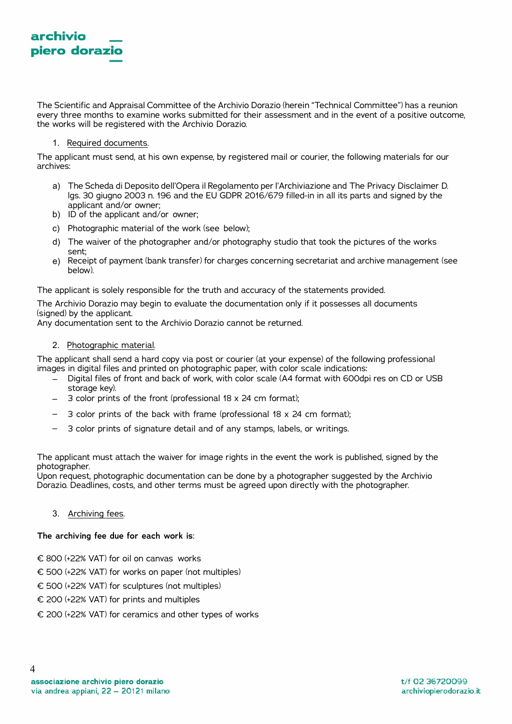

The Scientific and Appraisal Committee of the Archivio Dorazio (herein "Technical Committee") has a reunion every three months to examine works submitted for their assessment and in the event of a positive outcome, the works will be registered with the Archivio Dorazio.

## 1. Required documents.

The applicant must send, at his own expense, by registered mail or courier, the following materials for our archives:

- a) The Scheda di Deposito dell'Opera il Regolamento per l'Archiviazione and The Privacy Disclaimer D. lgs. 30 giugno 2003 n. 196 and the EU GDPR 2016/679 filled-in in all its parts and signed by the applicant and/or owner;
- b) ID of the applicant and/or owner:
- c) Photographic material of the work (see below);
- d) The waiver of the photographer and/or photography studio that took the pictures of the works sent;
- e) Receipt of payment (bank transfer) for charges concerning secretariat and archive management (see below).

The applicant is solely responsible for the truth and accuracy of the statements provided.

The Archivio Dorazio may begin to evaluate the documentation only if it possesses all documents (signed) by the applicant.

Any documentation sent to the Archivio Dorazio cannot be returned.

## 2. Photographic material.

The applicant shall send a hard copy via post or courier (at your expense) of the following professional images in digital files and printed on photographic paper, with color scale indications:

- Digital files of front and back of work, with color scale (A4 format with 600dpi res on CD or USB storage key).
- 3 color prints of the front (professional 18 x 24 cm format);
- 3 color prints of the back with frame (professional 18 x 24 cm format);
- 3 color prints of signature detail and of any stamps, labels, or writings.

The applicant must attach the waiver for image rights in the event the work is published, signed by the photographer.

Upon request, photographic documentation can be done by a photographer suggested by the Archivio Dorazio. Deadlines, costs, and other terms must be agreed upon directly with the photographer.

## 3. Archiving fees.

# **The archiving fee due for each work is**:

- € 800 (+22% VAT) for oil on canvas works
- € 500 (+22% VAT) for works on paper (not multiples)
- € 500 (+22% VAT) for sculptures (not multiples)
- € 200 (+22% VAT) for prints and multiples
- € 200 (+22% VAT) for ceramics and other types of works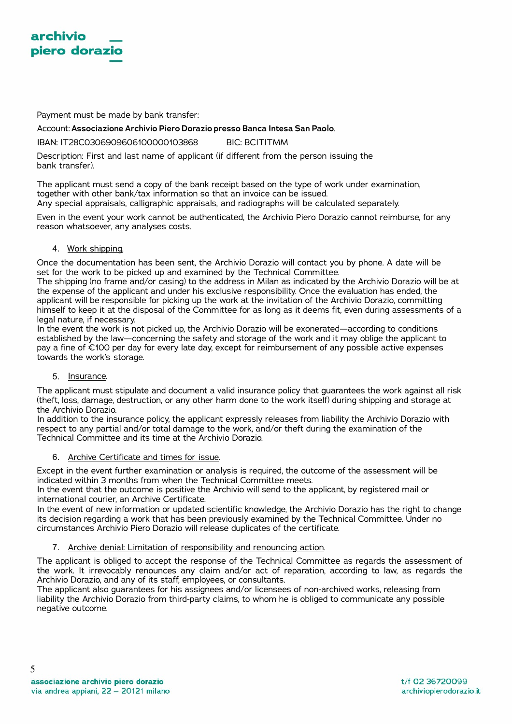

Payment must be made by bank transfer:

Account:**Associazione Archivio Piero Dorazio presso Banca Intesa San Paolo**.

IBAN: IT28C0306909606100000103868 BIC: BCITITMM

Description: First and last name of applicant (if different from the person issuing the bank transfer).

The applicant must send a copy of the bank receipt based on the type of work under examination, together with other bank/tax information so that an invoice can be issued. Any special appraisals, calligraphic appraisals, and radiographs will be calculated separately.

Even in the event your work cannot be authenticated, the Archivio Piero Dorazio cannot reimburse, for any reason whatsoever, any analyses costs.

# 4. Work shipping.

Once the documentation has been sent, the Archivio Dorazio will contact you by phone. A date will be set for the work to be picked up and examined by the Technical Committee.

The shipping (no frame and/or casing) to the address in Milan as indicated by the Archivio Dorazio will be at the expense of the applicant and under his exclusive responsibility. Once the evaluation has ended, the applicant will be responsible for picking up the work at the invitation of the Archivio Dorazio, committing himself to keep it at the disposal of the Committee for as long as it deems fit, even during assessments of a legal nature, if necessary.

In the event the work is not picked up, the Archivio Dorazio will be exonerated—according to conditions established by the law—concerning the safety and storage of the work and it may oblige the applicant to pay a fine of €100 per day for every late day, except for reimbursement of any possible active expenses towards the work's storage.

#### 5. Insurance.

The applicant must stipulate and document a valid insurance policy that guarantees the work against all risk (theft, loss, damage, destruction, or any other harm done to the work itself) during shipping and storage at the Archivio Dorazio.

In addition to the insurance policy, the applicant expressly releases from liability the Archivio Dorazio with respect to any partial and/or total damage to the work, and/or theft during the examination of the Technical Committee and its time at the Archivio Dorazio.

# 6. Archive Certificate and times for issue.

Except in the event further examination or analysis is required, the outcome of the assessment will be indicated within 3 months from when the Technical Committee meets.

In the event that the outcome is positive the Archivio will send to the applicant, by registered mail or international courier, an Archive Certificate.

In the event of new information or updated scientific knowledge, the Archivio Dorazio has the right to change its decision regarding a work that has been previously examined by the Technical Committee. Under no circumstances Archivio Piero Dorazio will release duplicates of the certificate.

#### 7. Archive denial: Limitation of responsibility and renouncing action.

The applicant is obliged to accept the response of the Technical Committee as regards the assessment of the work. It irrevocably renounces any claim and/or act of reparation, according to law, as regards the Archivio Dorazio, and any of its staff, employees, or consultants.

The applicant also guarantees for his assignees and/or licensees of non-archived works, releasing from liability the Archivio Dorazio from third-party claims, to whom he is obliged to communicate any possible negative outcome.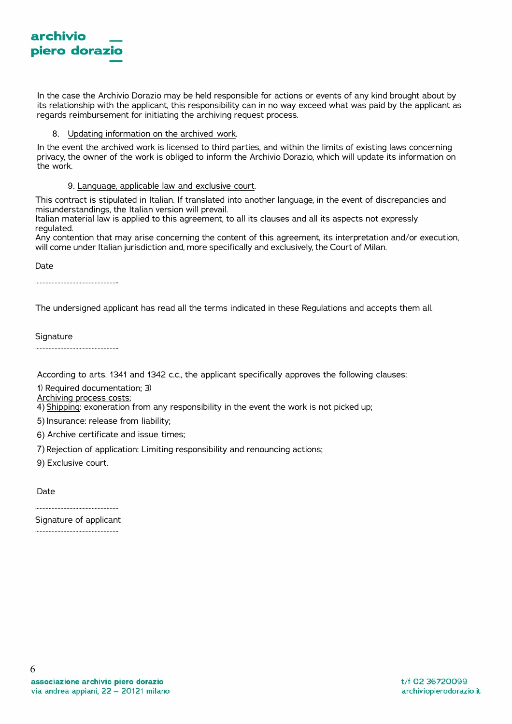

In the case the Archivio Dorazio may be held responsible for actions or events of any kind brought about by its relationship with the applicant, this responsibility can in no way exceed what was paid by the applicant as regards reimbursement for initiating the archiving request process.

## 8. Updating information on the archived work.

In the event the archived work is licensed to third parties, and within the limits of existing laws concerning privacy, the owner of the work is obliged to inform the Archivio Dorazio, which will update its information on the work.

#### 9. Language, applicable law and exclusive court.

This contract is stipulated in Italian. If translated into another language, in the event of discrepancies and misunderstandings, the Italian version will prevail.

Italian material law is applied to this agreement, to all its clauses and all its aspects not expressly regulated.

Any contention that may arise concerning the content of this agreement, its interpretation and/or execution, will come under Italian jurisdiction and, more specifically and exclusively, the Court of Milan.

Date

The undersigned applicant has read all the terms indicated in these Regulations and accepts them all.

**Signature** 

According to arts. 1341 and 1342 c.c., the applicant specifically approves the following clauses:

1) Required documentation; 3)

Archiving process costs;

………………………………………………..

………………………………………………..

4) Shipping: exoneration from any responsibility in the event the work is not picked up;

- 5) Insurance: release from liability;
- 6) Archive certificate and issue times;
- 7) Rejection of application: Limiting responsibility and renouncing actions;
- 9) Exclusive court.

Date

……………………………………………….. Signature of applicant ………………………………………………..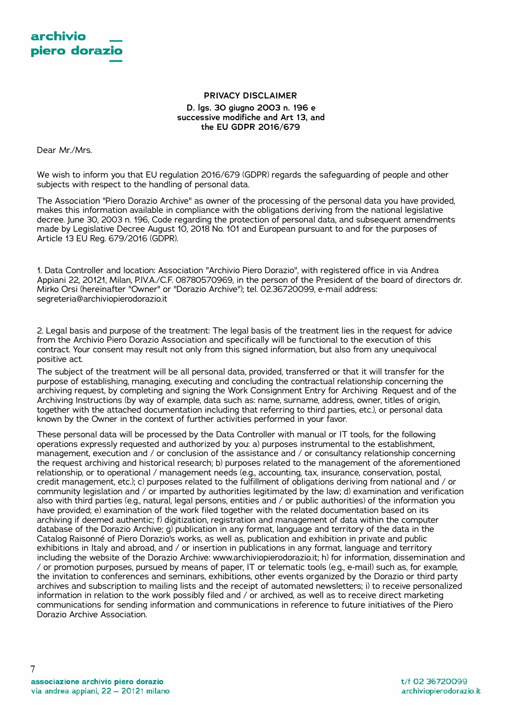## **PRIVACY DISCLAIMER D. lgs. 30 giugno 2003 n. 196 e successive modifiche and Art 13, and the EU GDPR 2016/679**

Dear Mr./Mrs.

We wish to inform you that EU regulation 2016/679 (GDPR) regards the safeguarding of people and other subjects with respect to the handling of personal data.

The Association "Piero Dorazio Archive" as owner of the processing of the personal data you have provided, makes this information available in compliance with the obligations deriving from the national legislative decree. June 30, 2003 n. 196, Code regarding the protection of personal data, and subsequent amendments made by Legislative Decree August 10, 2018 No. 101 and European pursuant to and for the purposes of Article 13 EU Reg. 679/2016 (GDPR).

1. Data Controller and location: Association "Archivio Piero Dorazio", with registered office in via Andrea Appiani 22, 20121, Milan, P.IV.A./C.F. 08780570969, in the person of the President of the board of directors dr. Mirko Orsi (hereinafter "Owner" or "Dorazio Archive"); tel. 02.36720099, e-mail address: segreteria@archiviopierodorazio.it

2. Legal basis and purpose of the treatment: The legal basis of the treatment lies in the request for advice from the Archivio Piero Dorazio Association and specifically will be functional to the execution of this contract. Your consent may result not only from this signed information, but also from any unequivocal positive act.

The subject of the treatment will be all personal data, provided, transferred or that it will transfer for the purpose of establishing, managing, executing and concluding the contractual relationship concerning the archiving request, by completing and signing the Work Consignment Entry for Archiving Request and of the Archiving Instructions (by way of example, data such as: name, surname, address, owner, titles of origin, together with the attached documentation including that referring to third parties, etc.), or personal data known by the Owner in the context of further activities performed in your favor.

These personal data will be processed by the Data Controller with manual or IT tools, for the following operations expressly requested and authorized by you: a) purposes instrumental to the establishment, management, execution and / or conclusion of the assistance and / or consultancy relationship concerning the request archiving and historical research; b) purposes related to the management of the aforementioned relationship, or to operational / management needs (e.g., accounting, tax, insurance, conservation, postal, credit management, etc.); c) purposes related to the fulfillment of obligations deriving from national and / or community legislation and / or imparted by authorities legitimated by the law; d) examination and verification also with third parties (e.g., natural, legal persons, entities and / or public authorities) of the information you have provided; e) examination of the work filed together with the related documentation based on its archiving if deemed authentic; f) digitization, registration and management of data within the computer database of the Dorazio Archive; g) publication in any format, language and territory of the data in the Catalog Raisonné of Piero Dorazio's works, as well as, publication and exhibition in private and public exhibitions in Italy and abroad, and / or insertion in publications in any format, language and territory including the website of the Dorazio Archive: www.archiviopierodorazio.it; h) for information, dissemination and / or promotion purposes, pursued by means of paper, IT or telematic tools (e.g., e-mail) such as, for example, the invitation to conferences and seminars, exhibitions, other events organized by the Dorazio or third party archives and subscription to mailing lists and the receipt of automated newsletters; i) to receive personalized information in relation to the work possibly filed and / or archived, as well as to receive direct marketing communications for sending information and communications in reference to future initiatives of the Piero Dorazio Archive Association.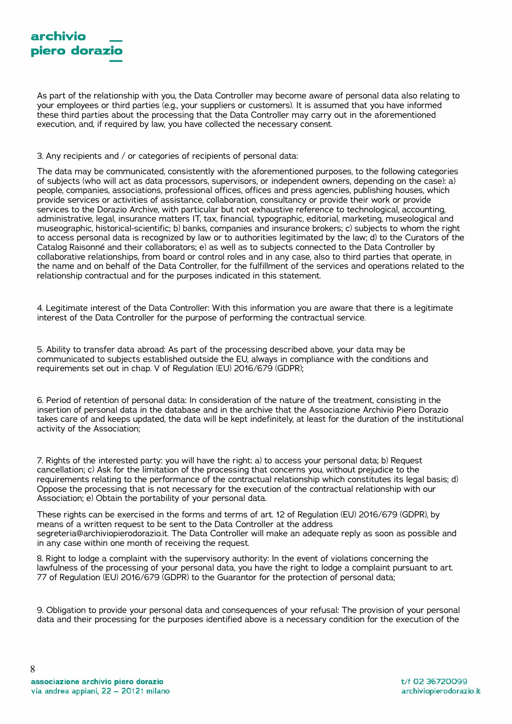

As part of the relationship with you, the Data Controller may become aware of personal data also relating to your employees or third parties (e.g., your suppliers or customers). It is assumed that you have informed these third parties about the processing that the Data Controller may carry out in the aforementioned execution, and, if required by law, you have collected the necessary consent.

3. Any recipients and / or categories of recipients of personal data:

The data may be communicated, consistently with the aforementioned purposes, to the following categories of subjects (who will act as data processors, supervisors, or independent owners, depending on the case): a) people, companies, associations, professional offices, offices and press agencies, publishing houses, which provide services or activities of assistance, collaboration, consultancy or provide their work or provide services to the Dorazio Archive, with particular but not exhaustive reference to technological, accounting, administrative, legal, insurance matters IT, tax, financial, typographic, editorial, marketing, museological and museographic, historical-scientific; b) banks, companies and insurance brokers; c) subjects to whom the right to access personal data is recognized by law or to authorities legitimated by the law; d) to the Curators of the Catalog Raisonné and their collaborators; e) as well as to subjects connected to the Data Controller by collaborative relationships, from board or control roles and in any case, also to third parties that operate, in the name and on behalf of the Data Controller, for the fulfillment of the services and operations related to the relationship contractual and for the purposes indicated in this statement.

4. Legitimate interest of the Data Controller: With this information you are aware that there is a legitimate interest of the Data Controller for the purpose of performing the contractual service.

5. Ability to transfer data abroad: As part of the processing described above, your data may be communicated to subjects established outside the EU, always in compliance with the conditions and requirements set out in chap. V of Regulation (EU) 2016/679 (GDPR);

6. Period of retention of personal data: In consideration of the nature of the treatment, consisting in the insertion of personal data in the database and in the archive that the Associazione Archivio Piero Dorazio takes care of and keeps updated, the data will be kept indefinitely, at least for the duration of the institutional activity of the Association;

7. Rights of the interested party: you will have the right: a) to access your personal data; b) Request cancellation; c) Ask for the limitation of the processing that concerns you, without prejudice to the requirements relating to the performance of the contractual relationship which constitutes its legal basis; d) Oppose the processing that is not necessary for the execution of the contractual relationship with our Association; e) Obtain the portability of your personal data.

These rights can be exercised in the forms and terms of art. 12 of Regulation (EU) 2016/679 (GDPR), by means of a written request to be sent to the Data Controller at the address segreteria@archiviopierodorazio.it. The Data Controller will make an adequate reply as soon as possible and in any case within one month of receiving the request.

8. Right to lodge a complaint with the supervisory authority: In the event of violations concerning the lawfulness of the processing of your personal data, you have the right to lodge a complaint pursuant to art. 77 of Regulation (EU) 2016/679 (GDPR) to the Guarantor for the protection of personal data;

9. Obligation to provide your personal data and consequences of your refusal: The provision of your personal data and their processing for the purposes identified above is a necessary condition for the execution of the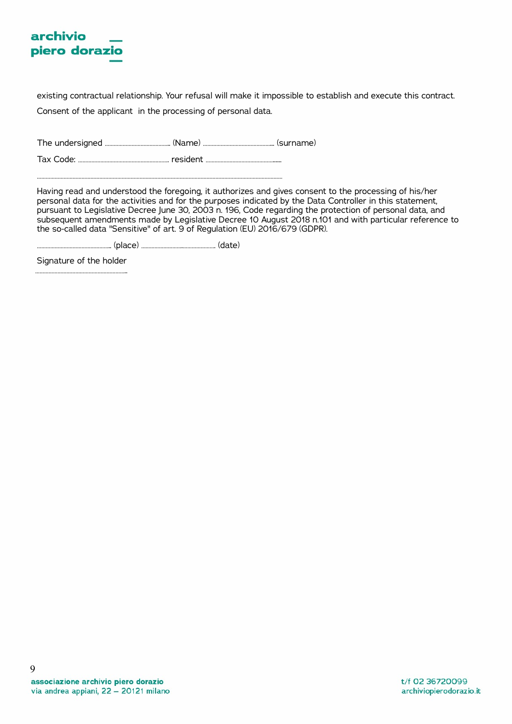# archivio piero dorazio

existing contractual relationship. Your refusal will make it impossible to establish and execute this contract. Consent of the applicant in the processing of personal data.

The undersigned …………………………………….. (Name) ………………………………………... (surname)

Tax Code: ……………………………………………………. resident ………………………………………...... …………………………………………………………………………………………………………………………………………………

Having read and understood the foregoing, it authorizes and gives consent to the processing of his/her personal data for the activities and for the purposes indicated by the Data Controller in this statement, pursuant to Legislative Decree June 30, 2003 n. 196, Code regarding the protection of personal data, and subsequent amendments made by Legislative Decree 10 August 2018 n.101 and with particular reference to the so-called data "Sensitive" of art. 9 of Regulation (EU) 2016/679 (GDPR).

………………………………………….. (place) ……………………….…………………. (date)

Signature of the holder ……………………………………………………..